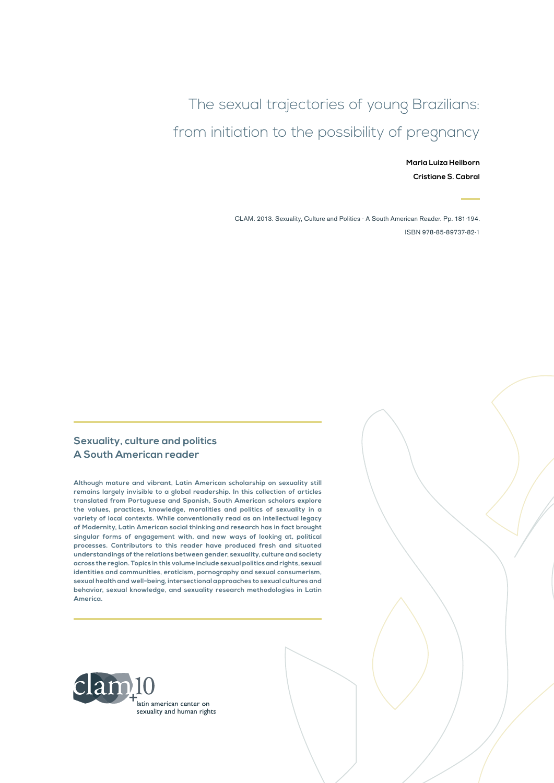# The sexual trajectories of young Brazilians: from initiation to the possibility of pregnancy

**Maria Luiza Heilborn Cristiane S. Cabral**

CLAM. 2013. Sexuality, Culture and Politics - A South American Reader. Pp. 181-194. ISBN 978-85-89737-82-1

#### **Sexuality, culture and politics A South American reader**

**Although mature and vibrant, Latin American scholarship on sexuality still remains largely invisible to a global readership. In this collection of articles translated from Portuguese and Spanish, South American scholars explore the values, practices, knowledge, moralities and politics of sexuality in a variety of local contexts. While conventionally read as an intellectual legacy of Modernity, Latin American social thinking and research has in fact brought singular forms of engagement with, and new ways of looking at, political processes. Contributors to this reader have produced fresh and situated understandings of the relations between gender, sexuality, culture and society across the region. Topics in this volume include sexual politics and rights, sexual identities and communities, eroticism, pornography and sexual consumerism, sexual health and well-being, intersectional approaches to sexual cultures and behavior, sexual knowledge, and sexuality research methodologies in Latin America.**

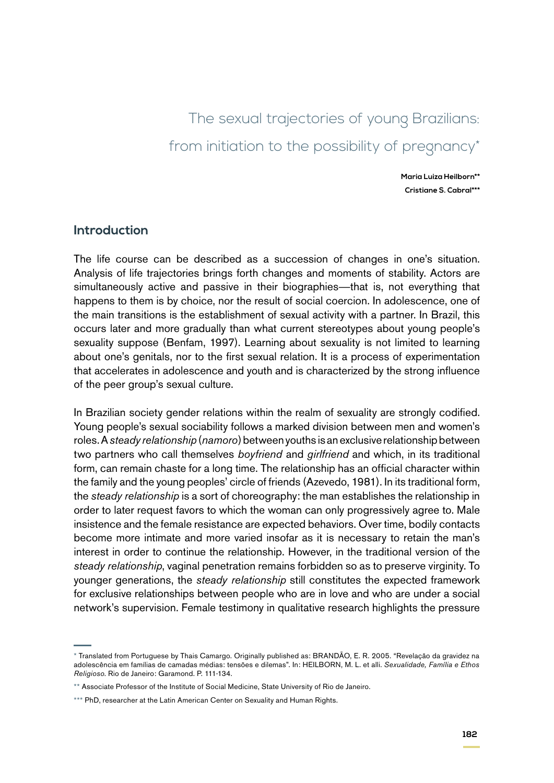# The sexual trajectories of young Brazilians: from initiation to the possibility of pregnancy\*

**Maria Luiza Heilborn\*\* Cristiane S. Cabral\*\*\***

#### **Introduction**

The life course can be described as a succession of changes in one's situation. Analysis of life trajectories brings forth changes and moments of stability. Actors are simultaneously active and passive in their biographies—that is, not everything that happens to them is by choice, nor the result of social coercion. In adolescence, one of the main transitions is the establishment of sexual activity with a partner. In Brazil, this occurs later and more gradually than what current stereotypes about young people's sexuality suppose (Benfam, 1997). Learning about sexuality is not limited to learning about one's genitals, nor to the first sexual relation. It is a process of experimentation that accelerates in adolescence and youth and is characterized by the strong influence of the peer group's sexual culture.

In Brazilian society gender relations within the realm of sexuality are strongly codified. Young people's sexual sociability follows a marked division between men and women's roles. A *steady relationship* (*namoro*) between youths is an exclusive relationship between two partners who call themselves *boyfriend* and *girlfriend* and which, in its traditional form, can remain chaste for a long time. The relationship has an official character within the family and the young peoples' circle of friends (Azevedo, 1981). In its traditional form, the *steady relationship* is a sort of choreography: the man establishes the relationship in order to later request favors to which the woman can only progressively agree to. Male insistence and the female resistance are expected behaviors. Over time, bodily contacts become more intimate and more varied insofar as it is necessary to retain the man's interest in order to continue the relationship. However, in the traditional version of the *steady relationship*, vaginal penetration remains forbidden so as to preserve virginity. To younger generations, the *steady relationship* still constitutes the expected framework for exclusive relationships between people who are in love and who are under a social network's supervision. Female testimony in qualitative research highlights the pressure

<sup>\*</sup> Translated from Portuguese by Thais Camargo. Originally published as: BRANDÃO, E. R. 2005. "Revelação da gravidez na adolescência em famílias de camadas médias: tensões e dilemas". In: HEILBORN, M. L. et alli. *Sexualidade, Família e Ethos Religioso*. Rio de Janeiro: Garamond. P. 111-134.

<sup>\*\*</sup> Associate Professor of the Institute of Social Medicine, State University of Rio de Janeiro.

<sup>\*\*\*</sup> PhD, researcher at the Latin American Center on Sexuality and Human Rights.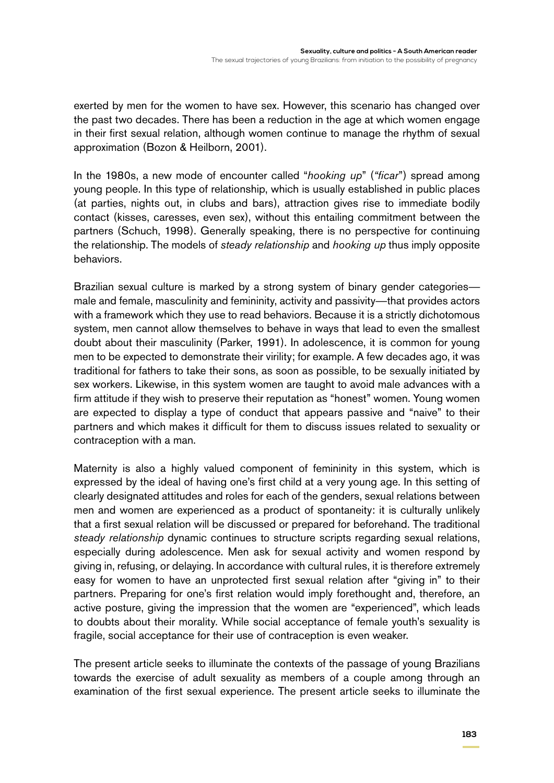exerted by men for the women to have sex. However, this scenario has changed over the past two decades. There has been a reduction in the age at which women engage in their first sexual relation, although women continue to manage the rhythm of sexual approximation (Bozon & Heilborn, 2001).

In the 1980s, a new mode of encounter called "*hooking up*" (*"ficar*") spread among young people. In this type of relationship, which is usually established in public places (at parties, nights out, in clubs and bars), attraction gives rise to immediate bodily contact (kisses, caresses, even sex), without this entailing commitment between the partners (Schuch, 1998). Generally speaking, there is no perspective for continuing the relationship. The models of *steady relationship* and *hooking up* thus imply opposite behaviors.

Brazilian sexual culture is marked by a strong system of binary gender categories male and female, masculinity and femininity, activity and passivity—that provides actors with a framework which they use to read behaviors. Because it is a strictly dichotomous system, men cannot allow themselves to behave in ways that lead to even the smallest doubt about their masculinity (Parker, 1991). In adolescence, it is common for young men to be expected to demonstrate their virility; for example. A few decades ago, it was traditional for fathers to take their sons, as soon as possible, to be sexually initiated by sex workers. Likewise, in this system women are taught to avoid male advances with a firm attitude if they wish to preserve their reputation as "honest" women. Young women are expected to display a type of conduct that appears passive and "naive" to their partners and which makes it difficult for them to discuss issues related to sexuality or contraception with a man.

Maternity is also a highly valued component of femininity in this system, which is expressed by the ideal of having one's first child at a very young age. In this setting of clearly designated attitudes and roles for each of the genders, sexual relations between men and women are experienced as a product of spontaneity: it is culturally unlikely that a first sexual relation will be discussed or prepared for beforehand. The traditional *steady relationship* dynamic continues to structure scripts regarding sexual relations, especially during adolescence. Men ask for sexual activity and women respond by giving in, refusing, or delaying. In accordance with cultural rules, it is therefore extremely easy for women to have an unprotected first sexual relation after "giving in" to their partners. Preparing for one's first relation would imply forethought and, therefore, an active posture, giving the impression that the women are "experienced", which leads to doubts about their morality. While social acceptance of female youth's sexuality is fragile, social acceptance for their use of contraception is even weaker.

The present article seeks to illuminate the contexts of the passage of young Brazilians towards the exercise of adult sexuality as members of a couple among through an examination of the first sexual experience. The present article seeks to illuminate the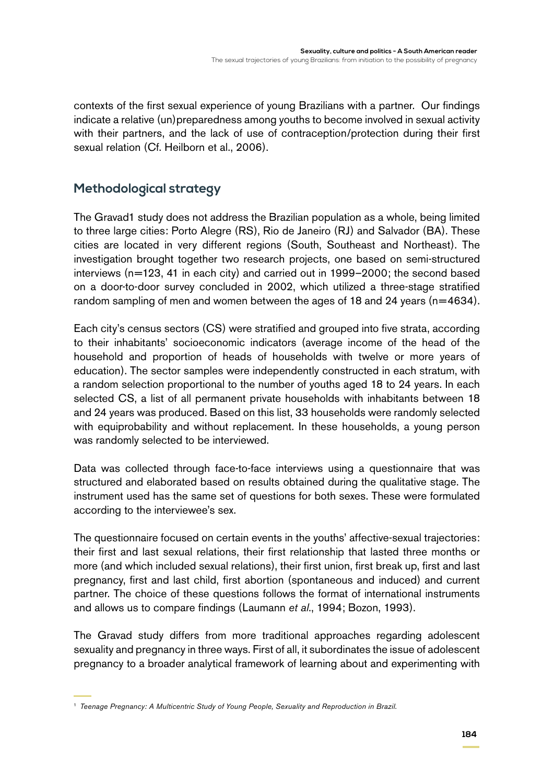contexts of the first sexual experience of young Brazilians with a partner. Our findings indicate a relative (un)preparedness among youths to become involved in sexual activity with their partners, and the lack of use of contraception/protection during their first sexual relation (Cf. Heilborn et al., 2006).

# **Methodological strategy**

The Gravad1 study does not address the Brazilian population as a whole, being limited to three large cities: Porto Alegre (RS), Rio de Janeiro (RJ) and Salvador (BA). These cities are located in very different regions (South, Southeast and Northeast). The investigation brought together two research projects, one based on semi-structured interviews (n=123, 41 in each city) and carried out in 1999–2000; the second based on a door-to-door survey concluded in 2002, which utilized a three-stage stratified random sampling of men and women between the ages of 18 and 24 years (n=4634).

Each city's census sectors (CS) were stratified and grouped into five strata, according to their inhabitants' socioeconomic indicators (average income of the head of the household and proportion of heads of households with twelve or more years of education). The sector samples were independently constructed in each stratum, with a random selection proportional to the number of youths aged 18 to 24 years. In each selected CS, a list of all permanent private households with inhabitants between 18 and 24 years was produced. Based on this list, 33 households were randomly selected with equiprobability and without replacement. In these households, a young person was randomly selected to be interviewed.

Data was collected through face-to-face interviews using a questionnaire that was structured and elaborated based on results obtained during the qualitative stage. The instrument used has the same set of questions for both sexes. These were formulated according to the interviewee's sex.

The questionnaire focused on certain events in the youths' affective-sexual trajectories: their first and last sexual relations, their first relationship that lasted three months or more (and which included sexual relations), their first union, first break up, first and last pregnancy, first and last child, first abortion (spontaneous and induced) and current partner. The choice of these questions follows the format of international instruments and allows us to compare findings (Laumann *et al*., 1994; Bozon, 1993).

The Gravad study differs from more traditional approaches regarding adolescent sexuality and pregnancy in three ways. First of all, it subordinates the issue of adolescent pregnancy to a broader analytical framework of learning about and experimenting with

<sup>1</sup> *Teenage Pregnancy: A Multicentric Study of Young People, Sexuality and Reproduction in Brazil*.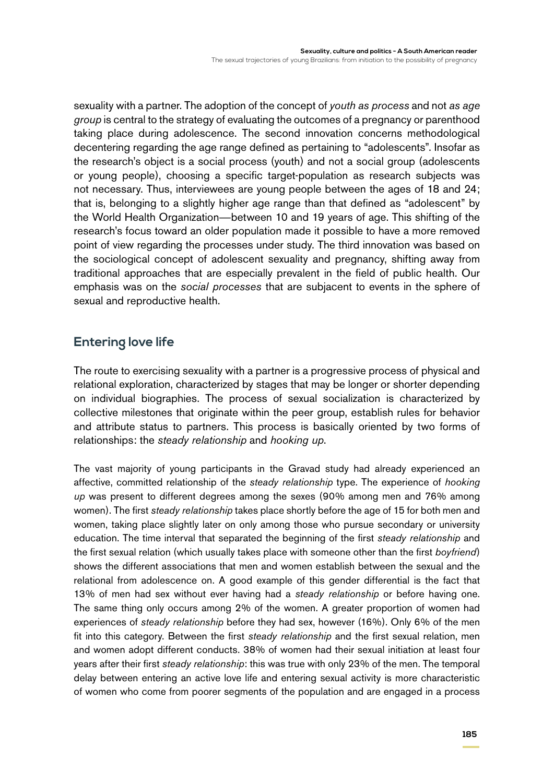sexuality with a partner. The adoption of the concept of *youth as process* and not *as age group* is central to the strategy of evaluating the outcomes of a pregnancy or parenthood taking place during adolescence. The second innovation concerns methodological decentering regarding the age range defined as pertaining to "adolescents". Insofar as the research's object is a social process (youth) and not a social group (adolescents or young people), choosing a specific target-population as research subjects was not necessary. Thus, interviewees are young people between the ages of 18 and 24; that is, belonging to a slightly higher age range than that defined as "adolescent" by the World Health Organization—between 10 and 19 years of age. This shifting of the research's focus toward an older population made it possible to have a more removed point of view regarding the processes under study. The third innovation was based on the sociological concept of adolescent sexuality and pregnancy, shifting away from traditional approaches that are especially prevalent in the field of public health. Our emphasis was on the *social processes* that are subjacent to events in the sphere of sexual and reproductive health.

# **Entering love life**

The route to exercising sexuality with a partner is a progressive process of physical and relational exploration, characterized by stages that may be longer or shorter depending on individual biographies. The process of sexual socialization is characterized by collective milestones that originate within the peer group, establish rules for behavior and attribute status to partners. This process is basically oriented by two forms of relationships: the *steady relationship* and *hooking up*.

The vast majority of young participants in the Gravad study had already experienced an affective, committed relationship of the *steady relationship* type. The experience of *hooking up* was present to different degrees among the sexes (90% among men and 76% among women). The first *steady relationship* takes place shortly before the age of 15 for both men and women, taking place slightly later on only among those who pursue secondary or university education. The time interval that separated the beginning of the first *steady relationship* and the first sexual relation (which usually takes place with someone other than the first *boyfriend*) shows the different associations that men and women establish between the sexual and the relational from adolescence on. A good example of this gender differential is the fact that 13% of men had sex without ever having had a *steady relationship* or before having one. The same thing only occurs among 2% of the women. A greater proportion of women had experiences of *steady relationship* before they had sex, however (16%). Only 6% of the men fit into this category. Between the first *steady relationship* and the first sexual relation, men and women adopt different conducts. 38% of women had their sexual initiation at least four years after their first *steady relationship*: this was true with only 23% of the men. The temporal delay between entering an active love life and entering sexual activity is more characteristic of women who come from poorer segments of the population and are engaged in a process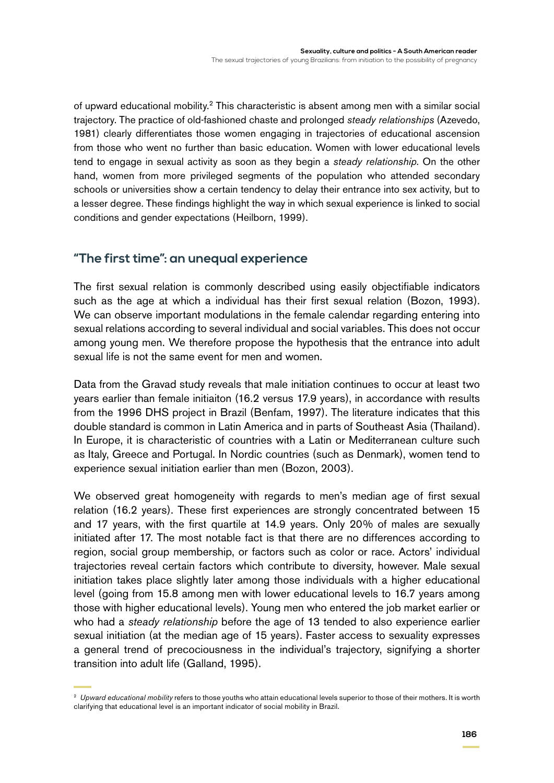of upward educational mobility.<sup>2</sup> This characteristic is absent among men with a similar social trajectory. The practice of old-fashioned chaste and prolonged *steady relationships* (Azevedo, 1981) clearly differentiates those women engaging in trajectories of educational ascension from those who went no further than basic education. Women with lower educational levels tend to engage in sexual activity as soon as they begin a *steady relationship*. On the other hand, women from more privileged segments of the population who attended secondary schools or universities show a certain tendency to delay their entrance into sex activity, but to a lesser degree. These findings highlight the way in which sexual experience is linked to social conditions and gender expectations (Heilborn, 1999).

### **"The first time": an unequal experience**

The first sexual relation is commonly described using easily objectifiable indicators such as the age at which a individual has their first sexual relation (Bozon, 1993). We can observe important modulations in the female calendar regarding entering into sexual relations according to several individual and social variables. This does not occur among young men. We therefore propose the hypothesis that the entrance into adult sexual life is not the same event for men and women.

Data from the Gravad study reveals that male initiation continues to occur at least two years earlier than female initiaiton (16.2 versus 17.9 years), in accordance with results from the 1996 DHS project in Brazil (Benfam, 1997). The literature indicates that this double standard is common in Latin America and in parts of Southeast Asia (Thailand). In Europe, it is characteristic of countries with a Latin or Mediterranean culture such as Italy, Greece and Portugal. In Nordic countries (such as Denmark), women tend to experience sexual initiation earlier than men (Bozon, 2003).

We observed great homogeneity with regards to men's median age of first sexual relation (16.2 years). These first experiences are strongly concentrated between 15 and 17 years, with the first quartile at 14.9 years. Only 20% of males are sexually initiated after 17. The most notable fact is that there are no differences according to region, social group membership, or factors such as color or race. Actors' individual trajectories reveal certain factors which contribute to diversity, however. Male sexual initiation takes place slightly later among those individuals with a higher educational level (going from 15.8 among men with lower educational levels to 16.7 years among those with higher educational levels). Young men who entered the job market earlier or who had a *steady relationship* before the age of 13 tended to also experience earlier sexual initiation (at the median age of 15 years). Faster access to sexuality expresses a general trend of precociousness in the individual's trajectory, signifying a shorter transition into adult life (Galland, 1995).

<sup>2</sup> *Upward educational mobility* refers to those youths who attain educational levels superior to those of their mothers. It is worth clarifying that educational level is an important indicator of social mobility in Brazil.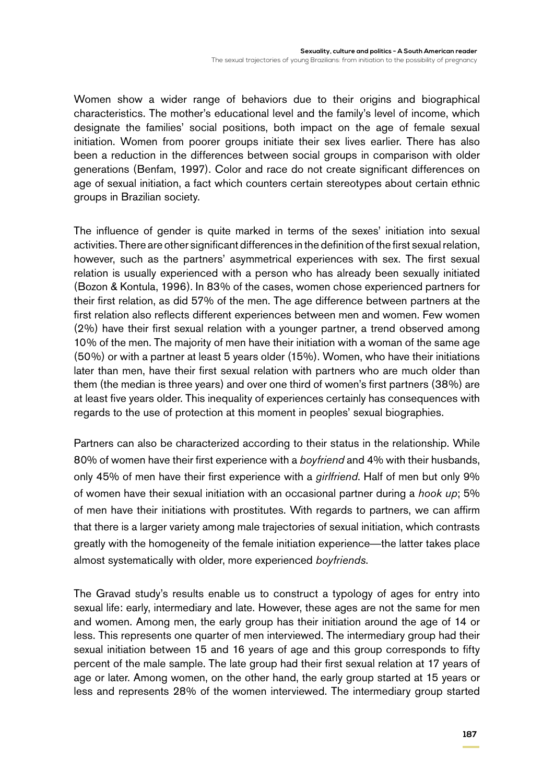Women show a wider range of behaviors due to their origins and biographical characteristics. The mother's educational level and the family's level of income, which designate the families' social positions, both impact on the age of female sexual initiation. Women from poorer groups initiate their sex lives earlier. There has also been a reduction in the differences between social groups in comparison with older generations (Benfam, 1997). Color and race do not create significant differences on age of sexual initiation, a fact which counters certain stereotypes about certain ethnic groups in Brazilian society.

The influence of gender is quite marked in terms of the sexes' initiation into sexual activities. There are other significant differences in the definition of the first sexual relation, however, such as the partners' asymmetrical experiences with sex. The first sexual relation is usually experienced with a person who has already been sexually initiated (Bozon & Kontula, 1996). In 83% of the cases, women chose experienced partners for their first relation, as did 57% of the men. The age difference between partners at the first relation also reflects different experiences between men and women. Few women (2%) have their first sexual relation with a younger partner, a trend observed among 10% of the men. The majority of men have their initiation with a woman of the same age (50%) or with a partner at least 5 years older (15%). Women, who have their initiations later than men, have their first sexual relation with partners who are much older than them (the median is three years) and over one third of women's first partners (38%) are at least five years older. This inequality of experiences certainly has consequences with regards to the use of protection at this moment in peoples' sexual biographies.

Partners can also be characterized according to their status in the relationship. While 80% of women have their first experience with a *boyfriend* and 4% with their husbands, only 45% of men have their first experience with a *girlfriend*. Half of men but only 9% of women have their sexual initiation with an occasional partner during a *hook up*; 5% of men have their initiations with prostitutes. With regards to partners, we can affirm that there is a larger variety among male trajectories of sexual initiation, which contrasts greatly with the homogeneity of the female initiation experience—the latter takes place almost systematically with older, more experienced *boyfriends*.

The Gravad study's results enable us to construct a typology of ages for entry into sexual life: early, intermediary and late. However, these ages are not the same for men and women. Among men, the early group has their initiation around the age of 14 or less. This represents one quarter of men interviewed. The intermediary group had their sexual initiation between 15 and 16 years of age and this group corresponds to fifty percent of the male sample. The late group had their first sexual relation at 17 years of age or later. Among women, on the other hand, the early group started at 15 years or less and represents 28% of the women interviewed. The intermediary group started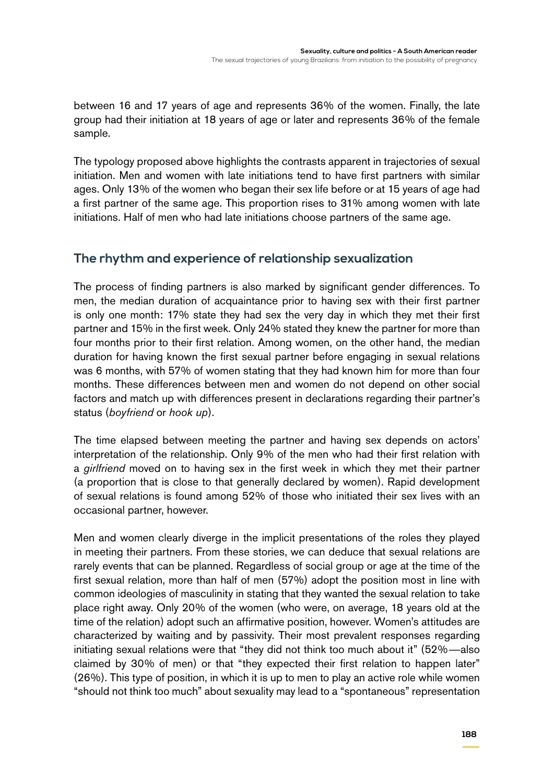between 16 and 17 years of age and represents 36% of the women. Finally, the late group had their initiation at 18 years of age or later and represents 36% of the female sample.

The typology proposed above highlights the contrasts apparent in trajectories of sexual initiation. Men and women with late initiations tend to have first partners with similar ages. Only 13% of the women who began their sex life before or at 15 years of age had a first partner of the same age. This proportion rises to 31% among women with late initiations. Half of men who had late initiations choose partners of the same age.

## **The rhythm and experience of relationship sexualization**

The process of finding partners is also marked by significant gender differences. To men, the median duration of acquaintance prior to having sex with their first partner is only one month: 17% state they had sex the very day in which they met their first partner and 15% in the first week. Only 24% stated they knew the partner for more than four months prior to their first relation. Among women, on the other hand, the median duration for having known the first sexual partner before engaging in sexual relations was 6 months, with 57% of women stating that they had known him for more than four months. These differences between men and women do not depend on other social factors and match up with differences present in declarations regarding their partner's status (*boyfriend* or *hook up*).

The time elapsed between meeting the partner and having sex depends on actors' interpretation of the relationship. Only 9% of the men who had their first relation with a *girlfriend* moved on to having sex in the first week in which they met their partner (a proportion that is close to that generally declared by women). Rapid development of sexual relations is found among 52% of those who initiated their sex lives with an occasional partner, however.

Men and women clearly diverge in the implicit presentations of the roles they played in meeting their partners. From these stories, we can deduce that sexual relations are rarely events that can be planned. Regardless of social group or age at the time of the first sexual relation, more than half of men (57%) adopt the position most in line with common ideologies of masculinity in stating that they wanted the sexual relation to take place right away. Only 20% of the women (who were, on average, 18 years old at the time of the relation) adopt such an affirmative position, however. Women's attitudes are characterized by waiting and by passivity. Their most prevalent responses regarding initiating sexual relations were that "they did not think too much about it" (52%—also claimed by 30% of men) or that "they expected their first relation to happen later" (26%). This type of position, in which it is up to men to play an active role while women "should not think too much" about sexuality may lead to a "spontaneous" representation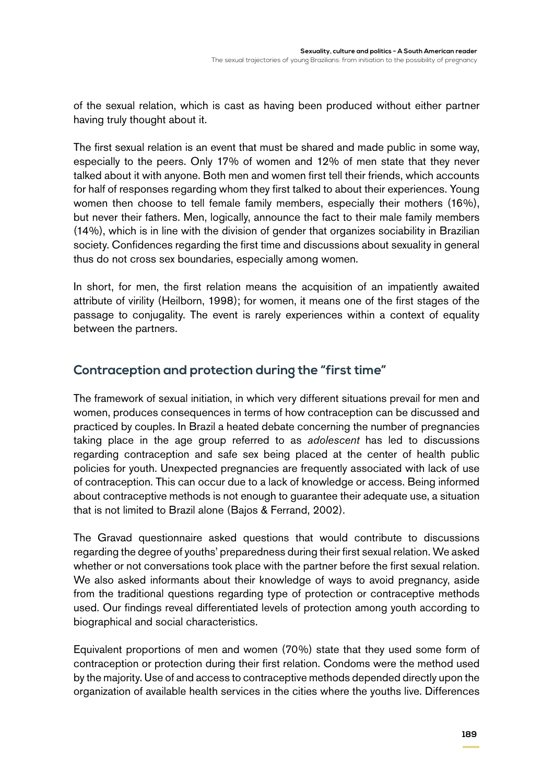of the sexual relation, which is cast as having been produced without either partner having truly thought about it.

The first sexual relation is an event that must be shared and made public in some way, especially to the peers. Only 17% of women and 12% of men state that they never talked about it with anyone. Both men and women first tell their friends, which accounts for half of responses regarding whom they first talked to about their experiences. Young women then choose to tell female family members, especially their mothers (16%), but never their fathers. Men, logically, announce the fact to their male family members (14%), which is in line with the division of gender that organizes sociability in Brazilian society. Confidences regarding the first time and discussions about sexuality in general thus do not cross sex boundaries, especially among women.

In short, for men, the first relation means the acquisition of an impatiently awaited attribute of virility (Heilborn, 1998); for women, it means one of the first stages of the passage to conjugality. The event is rarely experiences within a context of equality between the partners.

# **Contraception and protection during the "first time"**

The framework of sexual initiation, in which very different situations prevail for men and women, produces consequences in terms of how contraception can be discussed and practiced by couples. In Brazil a heated debate concerning the number of pregnancies taking place in the age group referred to as *adolescent* has led to discussions regarding contraception and safe sex being placed at the center of health public policies for youth. Unexpected pregnancies are frequently associated with lack of use of contraception. This can occur due to a lack of knowledge or access. Being informed about contraceptive methods is not enough to guarantee their adequate use, a situation that is not limited to Brazil alone (Bajos & Ferrand, 2002).

The Gravad questionnaire asked questions that would contribute to discussions regarding the degree of youths' preparedness during their first sexual relation. We asked whether or not conversations took place with the partner before the first sexual relation. We also asked informants about their knowledge of ways to avoid pregnancy, aside from the traditional questions regarding type of protection or contraceptive methods used. Our findings reveal differentiated levels of protection among youth according to biographical and social characteristics.

Equivalent proportions of men and women (70%) state that they used some form of contraception or protection during their first relation. Condoms were the method used by the majority. Use of and access to contraceptive methods depended directly upon the organization of available health services in the cities where the youths live. Differences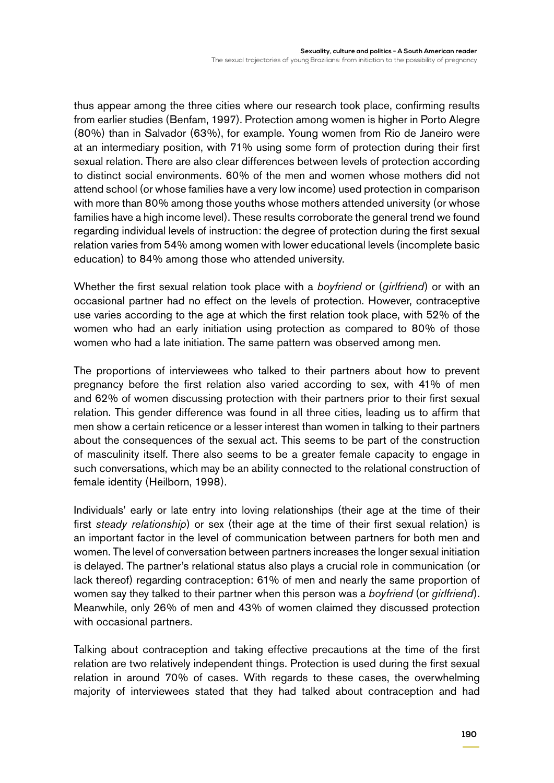thus appear among the three cities where our research took place, confirming results from earlier studies (Benfam, 1997). Protection among women is higher in Porto Alegre (80%) than in Salvador (63%), for example. Young women from Rio de Janeiro were at an intermediary position, with 71% using some form of protection during their first sexual relation. There are also clear differences between levels of protection according to distinct social environments. 60% of the men and women whose mothers did not attend school (or whose families have a very low income) used protection in comparison with more than 80% among those youths whose mothers attended university (or whose families have a high income level). These results corroborate the general trend we found regarding individual levels of instruction: the degree of protection during the first sexual relation varies from 54% among women with lower educational levels (incomplete basic education) to 84% among those who attended university.

Whether the first sexual relation took place with a *boyfriend* or (*girlfriend*) or with an occasional partner had no effect on the levels of protection. However, contraceptive use varies according to the age at which the first relation took place, with 52% of the women who had an early initiation using protection as compared to 80% of those women who had a late initiation. The same pattern was observed among men.

The proportions of interviewees who talked to their partners about how to prevent pregnancy before the first relation also varied according to sex, with 41% of men and 62% of women discussing protection with their partners prior to their first sexual relation. This gender difference was found in all three cities, leading us to affirm that men show a certain reticence or a lesser interest than women in talking to their partners about the consequences of the sexual act. This seems to be part of the construction of masculinity itself. There also seems to be a greater female capacity to engage in such conversations, which may be an ability connected to the relational construction of female identity (Heilborn, 1998).

Individuals' early or late entry into loving relationships (their age at the time of their first *steady relationship*) or sex (their age at the time of their first sexual relation) is an important factor in the level of communication between partners for both men and women. The level of conversation between partners increases the longer sexual initiation is delayed. The partner's relational status also plays a crucial role in communication (or lack thereof) regarding contraception: 61% of men and nearly the same proportion of women say they talked to their partner when this person was a *boyfriend* (or *girlfriend*). Meanwhile, only 26% of men and 43% of women claimed they discussed protection with occasional partners.

Talking about contraception and taking effective precautions at the time of the first relation are two relatively independent things. Protection is used during the first sexual relation in around 70% of cases. With regards to these cases, the overwhelming majority of interviewees stated that they had talked about contraception and had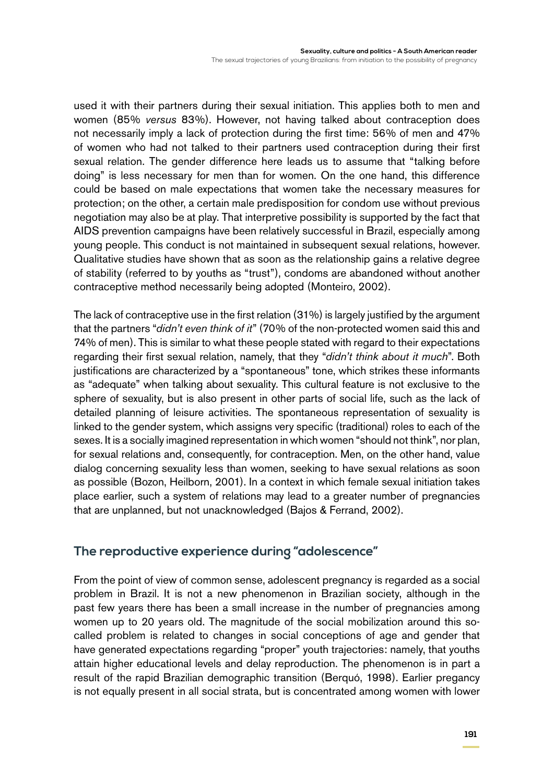used it with their partners during their sexual initiation. This applies both to men and women (85% *versus* 83%). However, not having talked about contraception does not necessarily imply a lack of protection during the first time: 56% of men and 47% of women who had not talked to their partners used contraception during their first sexual relation. The gender difference here leads us to assume that "talking before doing" is less necessary for men than for women. On the one hand, this difference could be based on male expectations that women take the necessary measures for protection; on the other, a certain male predisposition for condom use without previous negotiation may also be at play. That interpretive possibility is supported by the fact that AIDS prevention campaigns have been relatively successful in Brazil, especially among young people. This conduct is not maintained in subsequent sexual relations, however. Qualitative studies have shown that as soon as the relationship gains a relative degree of stability (referred to by youths as "trust"), condoms are abandoned without another contraceptive method necessarily being adopted (Monteiro, 2002).

The lack of contraceptive use in the first relation (31%) is largely justified by the argument that the partners "*didn't even think of it*" (70% of the non-protected women said this and 74% of men). This is similar to what these people stated with regard to their expectations regarding their first sexual relation, namely, that they "*didn't think about it much*". Both justifications are characterized by a "spontaneous" tone, which strikes these informants as "adequate" when talking about sexuality. This cultural feature is not exclusive to the sphere of sexuality, but is also present in other parts of social life, such as the lack of detailed planning of leisure activities. The spontaneous representation of sexuality is linked to the gender system, which assigns very specific (traditional) roles to each of the sexes. It is a socially imagined representation in which women "should not think", nor plan, for sexual relations and, consequently, for contraception. Men, on the other hand, value dialog concerning sexuality less than women, seeking to have sexual relations as soon as possible (Bozon, Heilborn, 2001). In a context in which female sexual initiation takes place earlier, such a system of relations may lead to a greater number of pregnancies that are unplanned, but not unacknowledged (Bajos & Ferrand, 2002).

# **The reproductive experience during "adolescence"**

From the point of view of common sense, adolescent pregnancy is regarded as a social problem in Brazil. It is not a new phenomenon in Brazilian society, although in the past few years there has been a small increase in the number of pregnancies among women up to 20 years old. The magnitude of the social mobilization around this socalled problem is related to changes in social conceptions of age and gender that have generated expectations regarding "proper" youth trajectories: namely, that youths attain higher educational levels and delay reproduction. The phenomenon is in part a result of the rapid Brazilian demographic transition (Berquó, 1998). Earlier pregancy is not equally present in all social strata, but is concentrated among women with lower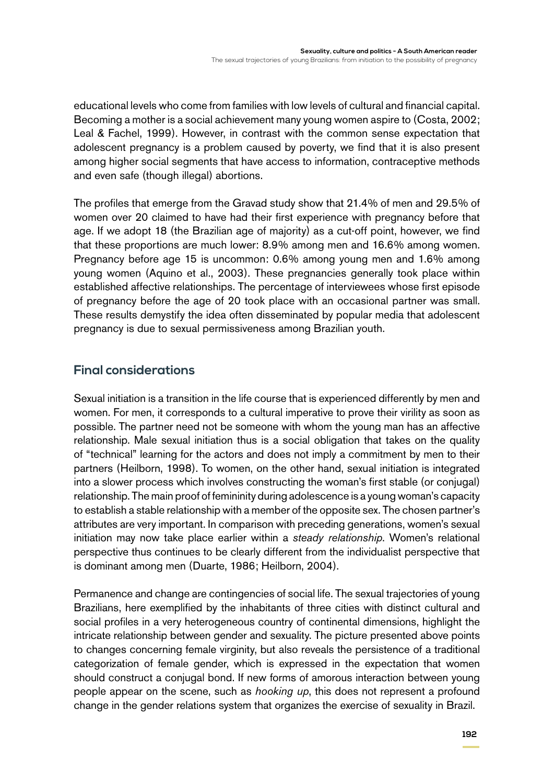educational levels who come from families with low levels of cultural and financial capital. Becoming a mother is a social achievement many young women aspire to (Costa, 2002; Leal & Fachel, 1999). However, in contrast with the common sense expectation that adolescent pregnancy is a problem caused by poverty, we find that it is also present among higher social segments that have access to information, contraceptive methods and even safe (though illegal) abortions.

The profiles that emerge from the Gravad study show that 21.4% of men and 29.5% of women over 20 claimed to have had their first experience with pregnancy before that age. If we adopt 18 (the Brazilian age of majority) as a cut-off point, however, we find that these proportions are much lower: 8.9% among men and 16.6% among women. Pregnancy before age 15 is uncommon: 0.6% among young men and 1.6% among young women (Aquino et al., 2003). These pregnancies generally took place within established affective relationships. The percentage of interviewees whose first episode of pregnancy before the age of 20 took place with an occasional partner was small. These results demystify the idea often disseminated by popular media that adolescent pregnancy is due to sexual permissiveness among Brazilian youth.

## **Final considerations**

Sexual initiation is a transition in the life course that is experienced differently by men and women. For men, it corresponds to a cultural imperative to prove their virility as soon as possible. The partner need not be someone with whom the young man has an affective relationship. Male sexual initiation thus is a social obligation that takes on the quality of "technical" learning for the actors and does not imply a commitment by men to their partners (Heilborn, 1998). To women, on the other hand, sexual initiation is integrated into a slower process which involves constructing the woman's first stable (or conjugal) relationship. The main proof of femininity during adolescence is a young woman's capacity to establish a stable relationship with a member of the opposite sex. The chosen partner's attributes are very important. In comparison with preceding generations, women's sexual initiation may now take place earlier within a *steady relationship*. Women's relational perspective thus continues to be clearly different from the individualist perspective that is dominant among men (Duarte, 1986; Heilborn, 2004).

Permanence and change are contingencies of social life. The sexual trajectories of young Brazilians, here exemplified by the inhabitants of three cities with distinct cultural and social profiles in a very heterogeneous country of continental dimensions, highlight the intricate relationship between gender and sexuality. The picture presented above points to changes concerning female virginity, but also reveals the persistence of a traditional categorization of female gender, which is expressed in the expectation that women should construct a conjugal bond. If new forms of amorous interaction between young people appear on the scene, such as *hooking up*, this does not represent a profound change in the gender relations system that organizes the exercise of sexuality in Brazil.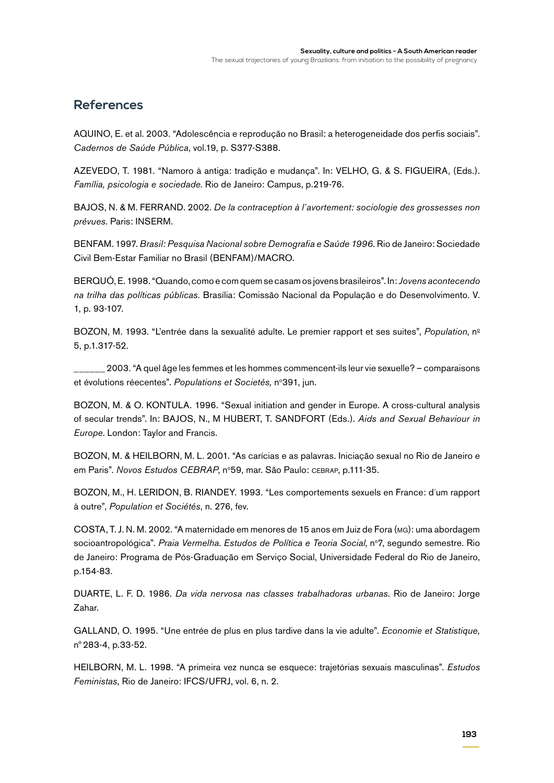### **References**

Aquino, E. et al. 2003. "Adolescência e reprodução no Brasil: a heterogeneidade dos perfis sociais". *Cadernos de Saúde Pública*, vol.19, p. S377-S388.

AZEVEDO, T. 1981. "Namoro à antiga: tradição e mudança". In: VELHO, G. & S. FIGUEIRA, (Eds.). *Família, psicologia e sociedade*. Rio de Janeiro: Campus, p.219-76.

BAJOS, N. & M. FERRAND. 2002. *De la contraception à l´avortement: sociologie des grossesses non prévues*. Paris: INSERM.

BENFAM. 1997. *Brasil: Pesquisa Nacional sobre Demografia e Saúde 1996.* Rio de Janeiro: Sociedade Civil Bem-Estar Familiar no Brasil (BENFAM)/MACRO.

BERQUÓ, E. 1998. "Quando, como e com quem se casam os jovens brasileiros". In: *Jovens acontecendo na trilha das políticas públicas.* Brasília: Comissão Nacional da População e do Desenvolvimento. V. 1, p. 93-107.

BOZON, M. 1993. "L'entrée dans la sexualité adulte. Le premier rapport et ses suites", *Population*, n<sup>o</sup> 5, p.1.317-52.

\_\_\_\_\_\_ 2003. "A quel âge les femmes et les hommes commencent-ils leur vie sexuelle? – comparaisons et évolutions réecentes". Populations et Societés, n°391, jun.

BOZON, M. & O. KONTULA. 1996. "Sexual initiation and gender in Europe. A cross-cultural analysis of secular trends". In: Bajos, N., M HUBERT, T. SANDFORT (Eds.). *Aids and Sexual Behaviour in Europe*. London: Taylor and Francis.

BOZON, M. & HEILBORN, M. L. 2001. "As carícias e as palavras. Iniciação sexual no Rio de Janeiro e em Paris". Novos Estudos CEBRAP, nº59, mar. São Paulo: CEBRAP, p.111-35.

BOZON, M., H. LERIDON, B. RIANDEY. 1993. "Les comportements sexuels en France: d´um rapport à outre", *Population et Sociétés*, n. 276, fev.

COSTA, T. J. N. M. 2002. "A maternidade em menores de 15 anos em Juiz de Fora (mg): uma abordagem socioantropológica". *Praia Vermelha*. *Estudos de Política e Teoria Social*, no 7, segundo semestre. Rio de Janeiro: Programa de Pós-Graduação em Serviço Social, Universidade Federal do Rio de Janeiro, p.154-83.

DUARTE, L. F. D. 1986. *Da vida nervosa nas classes trabalhadoras urbanas.* Rio de Janeiro: Jorge Zahar.

GALLAND, O. 1995. "Une entrée de plus en plus tardive dans la vie adulte". *Economie et Statistique,* nº 283-4, p.33-52.

HEILBORN, M. L. 1998. "A primeira vez nunca se esquece: trajetórias sexuais masculinas". *Estudos Feministas*, Rio de Janeiro: IFCS/UFRJ, vol. 6, n. 2.